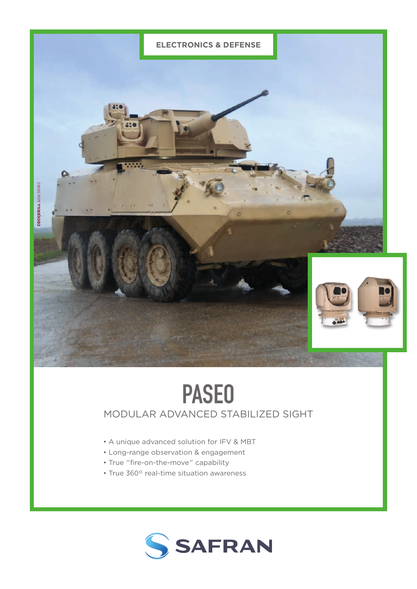

# PASEO

## MODULAR ADVANCED STABILIZED SIGHT

- A unique advanced solution for IFV & MBT
- Long-range observation & engagement
- True "fire-on-the-move" capability
- True 360° real-time situation awareness